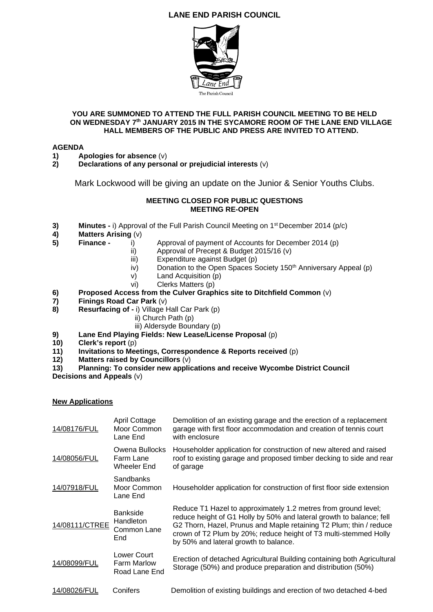# **LANE END PARISH COUNCIL**



### **YOU ARE SUMMONED TO ATTEND THE FULL PARISH COUNCIL MEETING TO BE HELD ON WEDNESDAY 7th JANUARY 2015 IN THE SYCAMORE ROOM OF THE LANE END VILLAGE HALL MEMBERS OF THE PUBLIC AND PRESS ARE INVITED TO ATTEND.**

# **AGENDA**

- **1)** Apologies for absence  $(v)$ <br>**2)** Declarations of any persor
- **2) Declarations of any personal or prejudicial interests** (v)

Mark Lockwood will be giving an update on the Junior & Senior Youths Clubs.

#### **MEETING CLOSED FOR PUBLIC QUESTIONS MEETING RE-OPEN**

- **3) Minutes -** i) Approval of the Full Parish Council Meeting on 1<sup>st</sup> December 2014 (p/c)
- **4) Matters Arising** (v)
- **5) Finance** i)Approval of payment of Accounts for December 2014 (p)
	- ii) Approval of Precept & Budget 2015/16 (v)
	- iii) Expenditure against Budget (p)
	- $iv$ ) Donation to the Open Spaces Society 150<sup>th</sup> Anniversary Appeal (p)
	- $v$  Land Acquisition (p)
	-
- vi) Clerks Matters (p)<br>**6) Proposed Access from the Culver Graph 6)** Proposed Access from the Culver Graphics site to Ditchfield Common (v)<br>**7)** Finings Road Car Park (v)
- **7) Finings Road Car Park** (v)
- **8)** Resurfacing of i) Village Hall Car Park (p)
	- ii) Church Path (p)
	- iii) Aldersyde Boundary (p)
- **9) Lane End Playing Fields: New Lease/License Proposal** (p)
- **10) Clerk's report** (p)
- **11) Invitations to Meetings, Correspondence & Reports received** (p)
- **12) Matters raised by Councillors** (v)
- **13) Planning: To consider new applications and receive Wycombe District Council Decisions and Appeals** (v)

## **New Applications**

| 14/08176/FUL   | April Cottage<br>Moor Common<br>Lane End           | Demolition of an existing garage and the erection of a replacement<br>garage with first floor accommodation and creation of tennis court<br>with enclosure                                                                                                                                                                |
|----------------|----------------------------------------------------|---------------------------------------------------------------------------------------------------------------------------------------------------------------------------------------------------------------------------------------------------------------------------------------------------------------------------|
| 14/08056/FUL   | Owena Bullocks<br>Farm Lane<br>Wheeler End         | Householder application for construction of new altered and raised<br>roof to existing garage and proposed timber decking to side and rear<br>of garage                                                                                                                                                                   |
| 14/07918/FUL   | Sandbanks<br>Moor Common<br>Lane End               | Householder application for construction of first floor side extension                                                                                                                                                                                                                                                    |
| 14/08111/CTREE | <b>Bankside</b><br>Handleton<br>Common Lane<br>End | Reduce T1 Hazel to approximately 1.2 metres from ground level;<br>reduce height of G1 Holly by 50% and lateral growth to balance; fell<br>G2 Thorn, Hazel, Prunus and Maple retaining T2 Plum; thin / reduce<br>crown of T2 Plum by 20%; reduce height of T3 multi-stemmed Holly<br>by 50% and lateral growth to balance. |
| 14/08099/FUL   | Lower Court<br><b>Farm Marlow</b><br>Road Lane End | Erection of detached Agricultural Building containing both Agricultural<br>Storage (50%) and produce preparation and distribution (50%)                                                                                                                                                                                   |
| 14/08026/FUL   | Conifers                                           | Demolition of existing buildings and erection of two detached 4-bed                                                                                                                                                                                                                                                       |